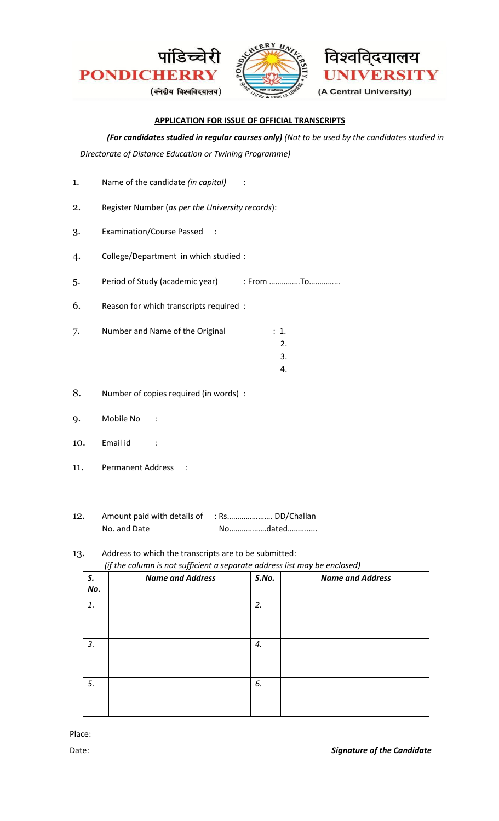





#### **APPLICATION FOR ISSUE OF OFFICIAL TRANSCRIPTS**

# *(For candidates studied in regular courses only) (Not to be used by the candidates studied in*

*Directorate of Distance Education or Twining Programme)* 

| 1.  | Name of the candidate (in capital)               |                        |  |
|-----|--------------------------------------------------|------------------------|--|
| 2.  | Register Number (as per the University records): |                        |  |
| 3.  | <b>Examination/Course Passed</b>                 |                        |  |
| 4.  | College/Department in which studied :            |                        |  |
| 5.  | Period of Study (academic year)                  | : From To              |  |
| 6.  | Reason for which transcripts required :          |                        |  |
| 7.  | Number and Name of the Original                  | : 1.<br>2.<br>3.<br>4. |  |
| 8.  | Number of copies required (in words) :           |                        |  |
| 9.  | Mobile No                                        |                        |  |
| 10. | Email id                                         |                        |  |
| 11. | <b>Permanent Address</b>                         |                        |  |
|     |                                                  |                        |  |

12. Amount paid with details of : Rs...................... DD/Challan No. and Date No………………dated……………

## 13. Address to which the transcripts are to be submitted: *(if the column is not sufficient a separate address list may be enclosed)*

| S.<br>No. | <b>Name and Address</b> | S.No. | <b>Name and Address</b> |
|-----------|-------------------------|-------|-------------------------|
| 1.        |                         | 2.    |                         |
| 3.        |                         | 4.    |                         |
| 5.        |                         | 6.    |                         |